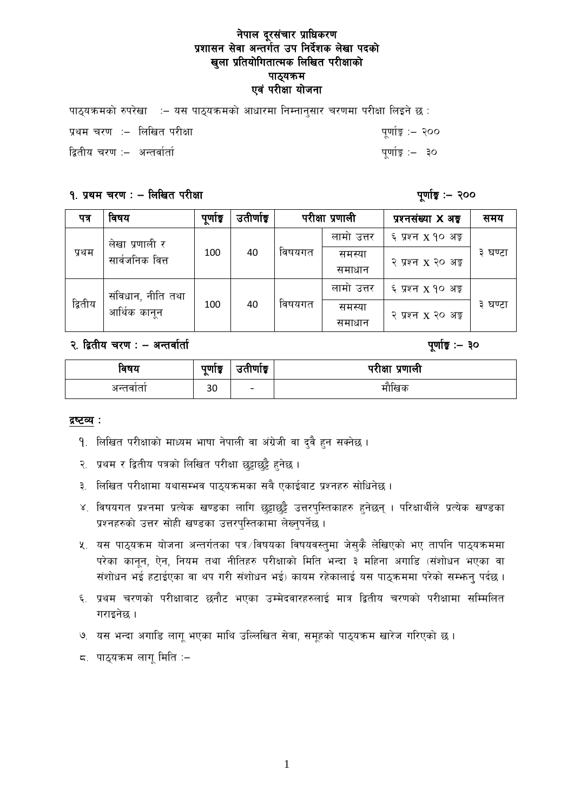## नेपाल दूरसंचार प्राधिकरण प्रशासन सेवा अन्तर्गत उप निर्देशक लेखा पदको खुला प्रतियोगितात्मक लिखित परीक्षाको पाठ्यक्रम एवं परीक्षा योजना

| पाठ्यक्रमको रुपरेखा ः– यस पाठ्यक्रमको आधारमा निम्नानुसार चरणमा परीक्षा लिइने छः |                  |
|---------------------------------------------------------------------------------|------------------|
| प्रथम चरण :– लिखित परीक्षा                                                      | पूर्णाङ्क :– २०० |
| द्वितीय चरण :–  अन्तर्वार्ता                                                    | पुर्णाङ्क :– ३०  |

### १. प्रथम चरण : - लिखित परीक्षा

पुर्णाङ्क :– २००

| पत्र    | विषय                              | पूर्णाङ्क | उतीर्णाङ्क |        | परीक्षा प्रणाली | प्रश्नसंख्या X अ <del>ङ</del> ् | समय     |
|---------|-----------------------------------|-----------|------------|--------|-----------------|---------------------------------|---------|
| प्रथम   | लेखा प्रणाली र<br>सार्वजनिक वित्त | 100       | 40         | विषयगत | लामो उत्तर      | ६ प्रश्न x १० अङ्क              |         |
|         |                                   |           |            |        | समस्या          | २ प्रश्न x २० अङ्ग              | ३ घण्टा |
|         |                                   |           |            |        | समाधान          |                                 |         |
| द्वितीय | संविधान, नीति तथा<br>आर्थिक कानून | 100       | 40         | विषयगत | लामो उत्तर      | ६ प्रश्न x १० अङ्ग              |         |
|         |                                   |           |            |        | समस्या          | २ प्रश्न x २० अङ्ग              | ३ घण्टा |
|         |                                   |           |            |        | समाधान          |                                 |         |

### २. द्वितीय चरण : - अन्तर्वार्ता

### पूर्णाङ्क :- ३०

| ावषय     | $\sim$<br>पुणाङ्क<br>$\sim$ | $\sim$<br>उताणाइ         | परीक्षा प्रणाली |
|----------|-----------------------------|--------------------------|-----------------|
| अन्तवाता | n n<br>3U.                  | $\overline{\phantom{0}}$ | मोखिक           |

#### द्रष्टव्य :

- 9. लिखित परीक्षाको माध्यम भाषा नेपाली वा अंग्रेजी वा दुवै हुन सक्नेछ ।
- २. प्रथम र द्वितीय पत्रको लिखित परीक्षा छुट्टाछुट्टै हुनेछ ।
- ३. लिखित परीक्षामा यथासम्भव पाठ्यक्रमका सबै एकाईबाट प्रश्नहरु सोधिनेछ ।
- ४. विषयगत प्रश्नमा प्रत्येक खण्डका लागि छुट्टाछुट्टै उत्तरपुस्तिकाहरु हुनेछन् । परिक्षार्थीले प्रत्येक खण्डका प्रश्नहरुको उत्तर सोही खण्डका उत्तरपुस्तिकामा लेख्नुपर्नेछ ।
- ५. यस पाठ्यक्रम योजना अन्तर्गतका पत्र ∕विषयका विषयवस्तुमा जेसुकै लेखिएको भए तापनि पाठ्यक्रममा परेका कानून, ऐन, नियम तथा नीतिहरु परीक्षाको मिति भन्दा ३ महिना अगाडि (संशोधन भएका वा संशोधन भई हटाईएका वा थप गरी संशोधन भई) कायम रहेकालाई यस पाठुकममा परेको सम्भन्न पर्दछ ।
- ६. प्रथम चरणको परीक्षाबाट छनौट भएका उम्मेदवारहरुलाई मात्र द्वितीय चरणको परीक्षामा सम्मिलित गराइनेछ ।
- ७. यस भन्दा अगाडि लागू भएका माथि उल्लिखित सेवा, समूहको पाठ्यक्रम खारेज गरिएको छ।
- ८. पाठ्यक्रम लागू मिति :–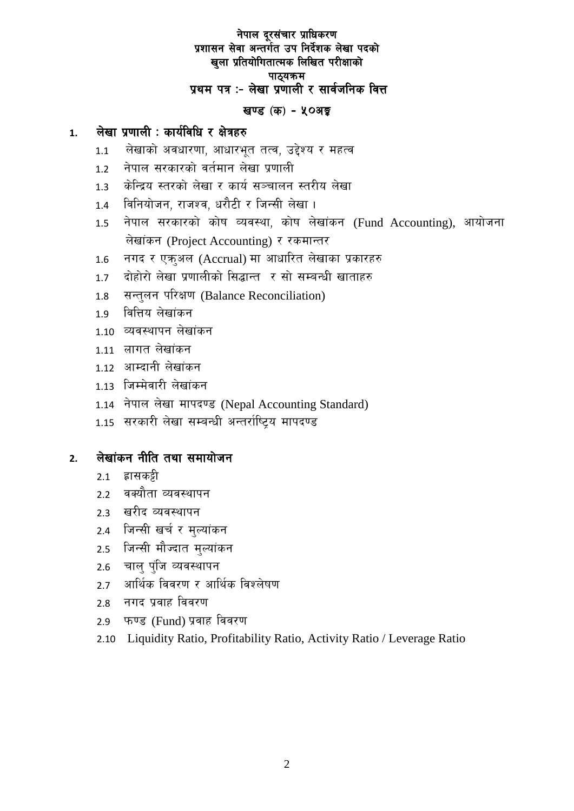# नेपाल दूरसंचार प्राधिकरण प्रशासन सेवा अन्तर्गत उप निर्देशक लेखा पदको खुला प्रतियोगितात्मक लिखित परीक्षाको पाठ्यक्रम प्रथम पत्र :- लेखा प्रणाली र सार्वजनिक वित्त

# खण्ड (क) - ५०अङ्क

#### लेखा प्रणाली : कार्यविधि र क्षेत्रहरु  $\mathbf{1}$ .

- लेखाको अवधारणा, आधारभूत तत्व, उद्देश्य र महत्व  $1.1$
- नेपाल सरकारको वर्तमान लेखा प्रणाली  $1.2$
- केन्द्रिय स्तरको लेखा र कार्य सञ्चालन स्तरीय लेखा  $1.3$
- विनियोजन, राजश्व, धरौटी र जिन्सी लेखा।  $1.4$
- नेपाल सरकारको कोष व्यवस्था, कोष लेखांकन (Fund Accounting), आयोजना  $1.5$ लेखांकन (Project Accounting) र रकमान्तर
- नगद र एकअल (Accrual) मा आधारित लेखाका प्रकारहरु  $1.6$
- दोहोरो लेखा प्रणालीको सिद्धान्त र सो सम्बन्धी खाताहरु  $1.7$
- सन्तुलन परिक्षण (Balance Reconciliation)  $1.8$
- वित्तिय लेखांकन  $1.9$
- 1.10 व्यवस्थापन लेखांकन
- 1.11 लागत लेखांकन
- 1.12 आम्दानी लेखांकन
- 1.13 जिम्मेवारी लेखांकन
- 1.14 नेपाल लेखा मापदण्ड (Nepal Accounting Standard)
- 1.15 सरकारी लेखा सम्बन्धी अन्तर्राष्टिय मापदण्ड

#### लेखांकन नीति तथा समायोजन  $2.$

- हासक**ट्टी**  $2.1$
- वक्यौता व्यवस्थापन  $2.2$
- खरीद व्यवस्थापन  $23$
- 2.4 जिन्सी खर्च र मुल्यांकन
- जिन्सी मौज्दात मुल्यांकन  $2.5$
- चाल पंजि व्यवस्थापन  $2.6$
- आर्थिक विवरण र आर्थिक विश्लेषण  $2.7$
- नगद प्रवाह विवरण  $2.8$
- फण्ड (Fund) प्रवाह विवरण  $2.9$
- 2.10 Liquidity Ratio, Profitability Ratio, Activity Ratio / Leverage Ratio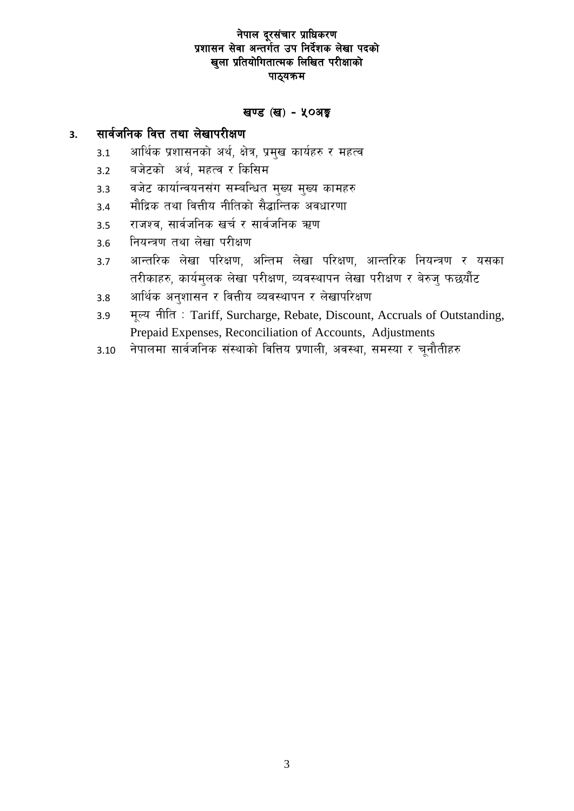# नेपाल दूरसंचार प्राधिकरण प्रशासन सेवा अन्तर्गत उप निर्देशक लेखा पदको खुला प्रतियोगितात्मक लिखित परीक्षाको पाठ्यक्रम

### खण्ड (ख) - ५०अङ्क

#### सार्वजनिक वित्त तथा लेखापरीक्षण  $3<sub>1</sub>$

- आर्थिक प्रशासनको अर्थ, क्षेत्र, प्रमुख कार्यहरु र महत्व  $3.1$
- बजेटको अर्थ, महत्व र किसिम  $3.2$
- वजेट कार्यान्वयनसंग सम्बन्धित मुख्य मुख्य कामहरु  $3.3$
- मौद्रिक तथा वित्तीय नीतिको सैद्धान्तिक अवधारणा  $3.4$
- राजश्व, सार्वजनिक खर्च र सार्वजनिक ऋण  $3.5$
- नियन्त्रण तथा लेखा परीक्षण  $3.6$
- आन्तरिक लेखा परिक्षण, अन्तिम लेखा परिक्षण, आन्तरिक नियन्त्रण र यसका  $3.7$ तरीकाहरु, कार्यमलक लेखा परीक्षण, व्यवस्थापन लेखा परीक्षण र बेरुज फछयौंट
- आर्थिक अनुशासन र वित्तीय व्यवस्थापन र लेखापरिक्षण  $3.8$
- मूल्य नीति: Tariff, Surcharge, Rebate, Discount, Accruals of Outstanding,  $3.9$ Prepaid Expenses, Reconciliation of Accounts, Adjustments
- नेपालमा सार्वजनिक संस्थाको वित्तिय प्रणाली, अवस्था, समस्या र चुनौतीहरु  $3.10$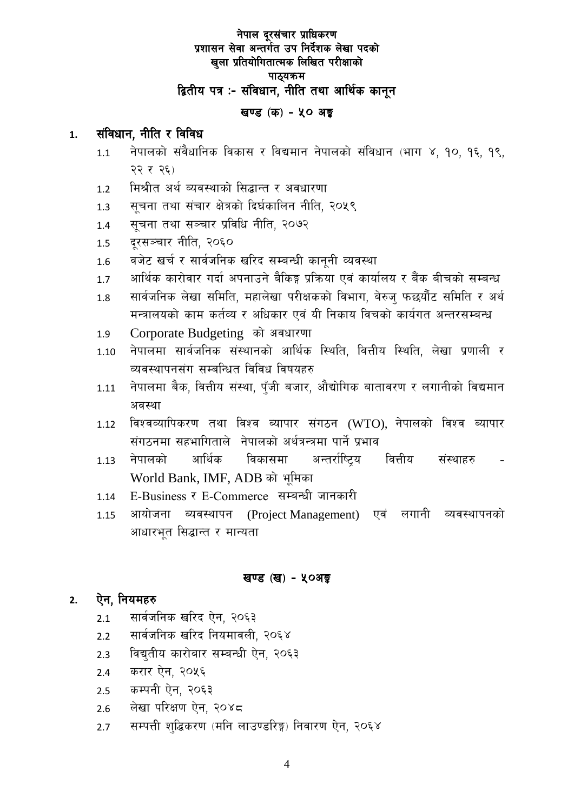# नेपाल दूरसंचार प्राधिकरण प्रशासन सेवा अन्तर्गत उप निर्देशक लेखा पदको खला प्रतियोगितात्मक लिखित परीक्षाको पाठ्यक्रम द्वितीय पत्र :- संविधान, नीति तथा आर्थिक कानून

# खण्ड (क) - ५० अङ्क

#### संविधान, नीति र विविध  $\mathbf{1}$ .

- नेपालको संवैधानिक विकास र विद्यमान नेपालको संविधान (भाग ४, १०, १६, १९,  $1.1$ २२ र २६)
- मिश्रीत अर्थ व्यवस्थाको सिद्धान्त र अवधारणा  $1.2$
- सचना तथा संचार क्षेत्रको दिर्घकालिन नीति, २०५९  $1.3$
- सूचना तथा सञ्चार प्रविधि नीति, २०७२  $1.4$
- दरसञ्चार नीति, २०६०  $1.5$
- वजेट खर्च र सार्वजनिक खरिद सम्बन्धी काननी व्यवस्था  $1.6$
- आर्थिक कारोवार गर्दा अपनाउने बैकिङ्ग प्रक्रिया एवं कार्यालय र बैंक बीचको सम्बन्ध  $1.7$
- सार्वजनिक लेखा समिति, महालेखा परीक्षकको विभाग, बेरुज फछयौंट समिति र अर्थ 1.8 मन्त्रालयको काम कर्तव्य र अधिकार एवं यी निकाय विचको कार्यगत अन्तरसम्बन्ध
- Corporate Budgeting को अवधारणा  $1.9$
- नेपालमा सार्वजनिक संस्थानको आर्थिक स्थिति, वित्तीय स्थिति, लेखा प्रणाली र  $1.10$ व्यवस्थापनसंग सम्बन्धित विविध विषयहरु
- नेपालमा बैक, वित्तीय संस्था, पुँजी बजार, औद्योगिक बातावरण र लगानीको विद्यमान 1.11 अवस्था
- विश्वव्यापिकरण तथा विश्व ब्यापार संगठन (WTO), नेपालको विश्व ब्यापार 1.12 संगठनमा सहभागिताले नेपालको अर्थत्रन्त्रमा पार्ने प्रभाव
- आर्थिक नेपालको विकासमा अन्तर्राष्टिय वित्तीय संस्थाहरु  $1.13$ World Bank, IMF, ADB को भूमिका
- E-Business र E-Commerce सम्बन्धी जानकारी 1.14
- आयोजना ब्यवस्थापन (Project Management) एवं लगानी व्यवस्थापनको 1.15 आधारभत सिद्धान्त र मान्यता

# खण्ड (ख) - ५०अङ्क

#### ऐन. नियमहरु  $2.$

- सार्वजनिक खरिद ऐन. २०६३  $2.1$
- सार्वजनिक खरिद नियमावली, २०६४  $2.2$
- विद्यतीय कारोबार सम्बन्धी ऐन. २०६३  $2.3$
- करार ऐन, २०५६  $2.4$
- कम्पनी ऐन, २०६३  $2.5$
- लेखा परिक्षण ऐन, २०४८  $2.6$
- सम्पत्ती शद्धिकरण (मनि लाउण्डरिङ्ग) निवारण ऐन, २०६४  $2.7$